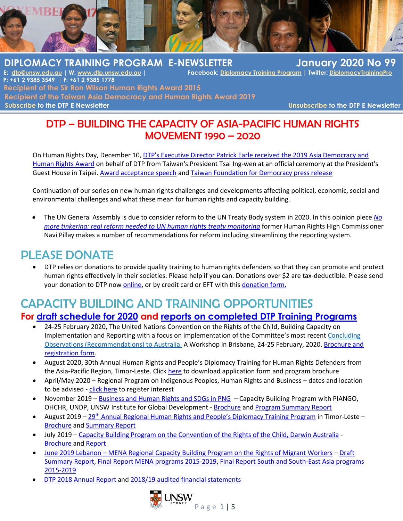

 **DIPLOMACY TRAINING PROGRAM E-NEWSLETTER January 2020 No 99**  $Facebook: [Diplomacy Training Program](mailto:Diplomacy Training Program) | Twitter: [DiplomacyTrainingProgram](mailto:DiplomacyTrainingProgram)$  **P: +61 2 9385 3549 | F: +61 2 9385 1778 Recipient of the Sir Ron Wilson Human Rights Award 2015 Recipient of the Taiwan Asia Democracy and Human Rights Award 2019 [Subscribe](http://www.dtp.unsw.edu.au/contact-us) to the DTP E Newsletter [Unsubscribe](http://www.dtp.unsw.edu.au/contact-us) to the DTP E Newsletter** 

## DTP – BUILDING THE CAPACITY OF ASIA-PACIFIC HUMAN RIGHTS MOVEMENT 1990 – 2020

On Human Rights Day, December 10, [DTP's Executive Director Patrick Earle received the 2019 Asia Democracy and](http://www.dtp.unsw.edu.au/2019-asia-democracy-and-human-rights-award)  [Human Rights Award](http://www.dtp.unsw.edu.au/2019-asia-democracy-and-human-rights-award) on behalf of DTP from Taiwan's President Tsai Ing-wen at an official ceremony at the President's Guest House in Taipei. [Award acceptance speech](http://www.dtp.unsw.edu.au/sites/default/files/u4/2019.ADHRA_.DTP%20Acceptance%20Speech.pdf) and [Taiwan Foundation for Democracy press release](http://www.dtp.unsw.edu.au/sites/default/files/u4/20191210%20ADHRA%20press%20release.pdf)

Continuation of our series on new human rights challenges and developments affecting political, economic, social and environmental challenges and what these mean for human rights and capacity building.

• The UN General Assembly is due to consider reform to the UN Treaty Body system in 2020. In this opinion piece *[No](https://www.ishr.ch/news/treaty-bodies-no-more-tinkering-real-reform-needed-un-human-rights-treaty-monitoring)  [more tinkering: real reform needed to UN human rights treaty monitoring](https://www.ishr.ch/news/treaty-bodies-no-more-tinkering-real-reform-needed-un-human-rights-treaty-monitoring)* former Human Rights High Commissioner Navi Pillay makes a number of recommendations for reform including streamlining the reporting system.

## PLEASE DONATE

• DTP relies on donations to provide quality training to human rights defenders so that they can promote and protect human rights effectively in their societies. Please help if you can. Donations over \$2 are tax-deductible. Please send your donation to DTP now [online,](https://www.bpoint.com.au/payments/diplomacytraining) or by credit card or EFT with thi[s donation form.](http://www.dtp.unsw.edu.au/sites/default/files/u4/Donation_Form_0.doc)

## CAPACITY BUILDING AND TRAINING OPPORTUNITIES **For draft [schedule for 2020](http://www.dtp.unsw.edu.au/sites/default/files/u4/20.%20Program%20Schedule%20web.pdf) and [reports on completed DTP Training](http://dtp.unsw.edu.au/dtp-training-program-reports) Programs**

- 24-25 February 2020, The United Nations Convention on the Rights of the Child, Building Capacity on Implementation and Reporting with a focus on implementation of the Committee's most recent Concluding [Observations \(Recommendations\) to Australia,](https://dtp.org.au/wp-content/plugins/civicrm/civicrm/extern/url.php?u=86&qid=30651) A Workshop in Brisbane, 24-25 February, 2020. [Brochure and](http://www.dtp.unsw.edu.au/rights-child)  [registration form.](http://www.dtp.unsw.edu.au/rights-child)
- August 2020, 30th Annual Human Rights and People's Diplomacy Training for Human Rights Defenders from the Asia-Pacific Region, Timor-Leste. Clic[k here](http://www.dtp.unsw.edu.au/30th-annual-program-2020-timor-leste) to download application form and program brochure
- April/May 2020 Regional Program on Indigenous Peoples, Human Rights and Business dates and location to be advised - [click here](http://www.dtp.unsw.edu.au/2020-indigenous-peoples-human-rights-and-business) to register interest
- November 2019 [Business and Human Rights and SDGs in PNG](http://www.dtp.unsw.edu.au/business-human-rights-and-sustainable-development-goals-sdgs-png-november-2019) Capacity Building Program with PIANGO, OHCHR, UNDP, UNSW Institute for Global Development - [Brochure](http://www.dtp.unsw.edu.au/sites/default/files/u4/BHR_PNG_Training%20Brochure.pdf) an[d Program Summary Report](http://www.dtp.unsw.edu.au/sites/default/files/u4/19.%20BHR.%20PNG.%20Summary%20Report.Short_.Final__1.pdf)
- **August 2019** 29<sup>th</sup> Annual Regional Human Rights and People'[s Diplomacy Training Program](http://www.dtp.unsw.edu.au/29th-annual-program-2019-timor-leste) in Timor-Leste [Brochure](http://www.dtp.unsw.edu.au/sites/default/files/u4/19.%2029th%20Annual.%20Timor-Leste.%20Brochure.web__0.pdf) an[d Summary Report](http://www.dtp.unsw.edu.au/sites/default/files/u4/19.%2029th%20Annual.%20Timor-Leste.%20eNews%20Report.pdf)
- July 2019 Capacity Building Program [on the Convention of the Rights of the Child, Darwin Australia](http://dtp.unsw.edu.au/rights-child) [Brochure](http://dtp.unsw.edu.au/sites/default/files/u4/2019%20CRC%20Brochure.pdf) an[d Report](http://www.dtp.unsw.edu.au/sites/default/files/u4/19.%20CRC%20Australia.%20Workshop%20Report.pdf)
- June 2019 Lebanon [MENA Regional Capacity Building Program on the Rights of Migrant](http://www.dtp.unsw.edu.au/2019-capacity-building-program-promoting-rights-migrant-workers-middle-east-north-africa-and-asia) Workers [Draft](http://www.dtp.unsw.edu.au/sites/default/files/u4/19.%20MW.%20Regional%20MENA.%20Lebanon.%20Summary.v01.pdf)  [Summary Report,](http://www.dtp.unsw.edu.au/sites/default/files/u4/19.%20MW.%20Regional%20MENA.%20Lebanon.%20Summary.v01.pdf) [Final Report MENA programs](Final%20report%20for%20Capacity%20Building%20Training%20Programs%20in%20the%20Middle%20East%20and%20North%20Africa,%202015%20-%202019) 2015-2019, [Final Report South and South-East Asia programs](http://www.dtp.unsw.edu.au/sites/default/files/u4/15.19.%20DTP%27s%20MW.Capacity%20Building.Asia_.2015-19.Final%20Operational%20Report.v01.pdf) [2015-2019](http://www.dtp.unsw.edu.au/sites/default/files/u4/15.19.%20DTP%27s%20MW.Capacity%20Building.Asia_.2015-19.Final%20Operational%20Report.v01.pdf)
- [DTP 2018 Annual Report](http://www.dtp.unsw.edu.au/sites/default/files/u4/DTP%20annual%20report%202018-WEB.pdf) and 2018/19 [audited financial statements](http://www.dtp.unsw.edu.au/sites/default/files/publications/Financial%20Accounts%202019%20-%20DTP%20signed.pdf)

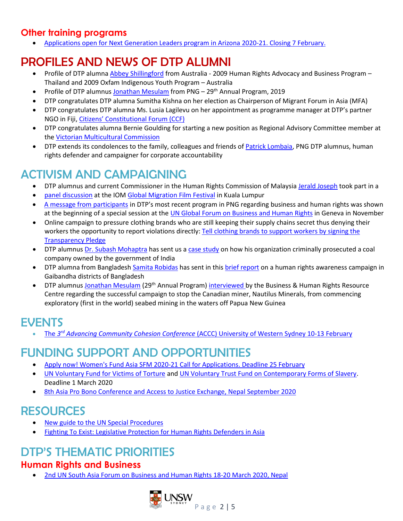## **Other training programs**

• Applications open for Next Generation Leaders program in Arizona [2020-21. Closing 7 February.](https://ngl.mccaininstitute.org/?utm_source=Mailchimp&utm_medium=email&utm_campaign=NGL%20Applications)

# PROFILES AND NEWS OF DTP ALUMNI

- Profile of DTP alumna [Abbey Shillingford](http://www.dtp.unsw.edu.au/abbey-shillingford) from Australia 2009 Human Rights Advocacy and Business Program Thailand and 2009 Oxfam Indigenous Youth Program – Australia
- Profile of DTP alumnus [Jonathan Mesulam](http://www.dtp.unsw.edu.au/jonathan-mesulam) from PNG 29<sup>th</sup> Annual Program, 2019
- DTP congratulates DTP alumna Sumitha Kishna on her election as Chairperson of Migrant Forum in Asia (MFA)
- DTP congratulates DTP alumna Ms. Lusia Lagilevu on her appointment as programme manager at DTP's partner NGO in Fiji, Citizens' [Constitutional Forum \(CCF\)](http://www.dtp.unsw.edu.au/sites/default/files/u4/CCF_2.pdf)
- DTP congratulates alumna Bernie Goulding for starting a new position as Regional Advisory Committee member at the [Victorian Multicultural Commission](https://www.multiculturalcommission.vic.gov.au/)
- DTP extends its condolences to the family, colleagues and friends of [Patrick Lombaia,](http://www.dtp.unsw.edu.au/patrick-lombaia) PNG DTP alumnus, human rights defender and campaigner for corporate accountability

# ACTIVISM AND CAMPAIGNING

- DTP alumnus and current Commissioner in the Human Rights Commission of Malaysia [Jerald Joseph](http://www.dtp.unsw.edu.au/jerald-joseph-0) took part in a
- [panel discussion](https://www.iom.int/news/education-stateless-children-and-climate-change-take-centre-stage-global-migration-film) at the IOM [Global Migration Film Festival](https://www.iom.int/global-migration-film-festival) in Kuala Lumpur
- A [message from participants](https://drive.google.com/file/d/16QO7Us_ZG-dT9hzZH9dHFWM6R37CVM-3/view) in DTP's most recent program in PNG regarding business and human rights was shown at the beginning of a special session at the *UN Global Forum on Business and Human Rights* in Geneva in November
- Online campaign to pressure clothing brands who are still keeping their supply chains secret thus denying their workers the opportunity to report violations directly: Tell clothing brands to support workers by signing the [Transparency Pledge](https://www.hrw.org/GoTransparent)
- DTP alumnu[s Dr. Subash Mohaptra](http://www.dtp.unsw.edu.au/dr-subash-mohaptra) has sent us a [case study](http://www.dtp.unsw.edu.au/sites/default/files/u4/ACTION%20MCL%20REPORT.pdf) on how his organization criminally prosecuted a coal company owned by the government of India
- DTP alumna from Bangladesh [Samita Robidas](http://www.dtp.unsw.edu.au/sumita-rabidas) has sent in this [brief report](http://www.dtp.unsw.edu.au/sites/default/files/u4/awareness%20Campaign.pdf) on a human rights awareness campaign in Gaibandha districts of Bangladesh
- DTP alumnus [Jonathan Mesulam](http://www.dtp.unsw.edu.au/jonathan-mesulam) (29<sup>th</sup> Annual Program) [interviewed](https://www.business-humanrights.org/en/interview-with-jonathan-mesulam-papua-new-guinea-png) by the Business & Human Rights Resource Centre regarding the successful campaign to stop the Canadian miner, Nautilus Minerals, from commencing exploratory (first in the world) seabed mining in the waters off Papua New Guinea

## EVENTS

**• The 3<sup>rd</sup> Advancing Community Cohesion Conference [\(ACCC\) University of Western Sydney 10-13 February](http://www.advancingcommunitycohesionconference.com.au/)** 

## FUNDING SUPPORT AND OPPORTUNITIES

- [Apply now! Women's Fund Asia SFM 2020-21 Call for Applications. Deadline 25 February](http://www.womensfundasia.org/SFM2020-21/offline)
- [UN Voluntary Fund for Victims of Torture](http://www.ohchr.org/EN/Issues/Torture/UNVFT/Pages/Apply.aspx) and [UN Voluntary Trust Fund on Contemporary Forms of Slavery.](http://www.ohchr.org/EN/Issues/Slavery/UNVTFCFS/Pages/Apply.aspx) Deadline 1 March 2020
- [8th Asia Pro Bono Conference and Access to Justice Exchange,](https://www.probonoconference.org/) Nepal September 2020

## RESOURCES

- [New guide to the UN Special Procedures](https://www.ishr.ch/sites/default/files/documents/a_practical_guide_to_the_un_special_procedures_final.pdf)
- Fighting To Exist: Legislative [Protection](https://www.ishr.ch/sites/default/files/documents/fighting_to_exist-_legislative_protection_for_human_rights_defenders_in_asia_june2019_revised.pdf) for Human Rights Defenders in Asia

# DTP'S THEMATIC PRIORITIES

### **Human Rights and Business**

• [2nd UN South Asia Forum on Business and Human Rights](https://www.ohchr.org/EN/Issues/Business/Pages/2020SouthAsiaRegionalForum.aspx) 18-20 March 2020, Nepal

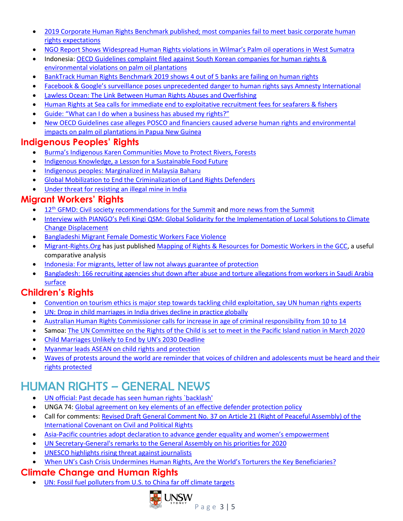- 2019 [Corporate Human Rights Benchmark published; most companies fail](https://www.business-humanrights.org/en/out-now-2019-corporate-human-rights-benchmark?mc_cid=462f5deb35&mc_eid=05389a65ff) to meet basic corporate human [rights expectations](https://www.business-humanrights.org/en/out-now-2019-corporate-human-rights-benchmark?mc_cid=462f5deb35&mc_eid=05389a65ff)
- NGO [Report Shows Widespread Human Rights violations in Wilma](https://www.forestpeoples.org/en/palm-oil-rspo/press-release/2019/press-release-report-shows-widespread-human-rights-violations)r's Palm oil operations in West Sumatra
- Indonesia[: OECD Guidelines complaint filed against South](https://www.business-humanrights.org/en/indonesia-oecd-guidelines-complaint-filed-against-so-korean-cos-for-human-rights-environmental-violations-on-palm-oil-plantations?mc_cid=23ed27ade6&mc_eid=ecee402c1b) Korean companies for human rights & [environmental violations on palm oil plantations](https://www.business-humanrights.org/en/indonesia-oecd-guidelines-complaint-filed-against-so-korean-cos-for-human-rights-environmental-violations-on-palm-oil-plantations?mc_cid=23ed27ade6&mc_eid=ecee402c1b)
- [BankTrack Human Rights Benchmark 2019 shows 4 out of 5 banks are failing on human rights](https://www.business-humanrights.org/en/banktrack-human-rights-benchmark-2019-shows-4-out-of-5-banks-are-failing-on-human-rights?mc_cid=18f441bd49&mc_eid=ecee402c1b)
- Facebook & Google's sur[veillance poses unprecedented danger to human rights says Amnesty International](https://www.business-humanrights.org/en/facebook-google%E2%80%99s-surveillance-poses-unprecedented-danger-to-human-rights-says-amnesty-international-the-companies-dispute-the-findings?mc_cid=18f441bd49&mc_eid=ecee402c1b)
- [Lawless Ocean: The Link Between Human Rights Abuses and Overfishing](https://e360.yale.edu/features/lawless-ocean-the-link-between-human-rights-abuses-and-overfishing?utm_source=Mekong+Eye&utm_campaign=508ce914ec-EMAIL_CAMPAIGN_2018_01_10_COPY_01&utm_medium=email&utm_term=0_5d4083d243-508ce914ec-527579429)
- Human Rights at Sea calls for immediate end to exploitative [recruitment fees for seafarers & fishers](https://www.business-humanrights.org/en/human-rights-at-sea-calls-for-immediate-end-to-exploitative-recruitment-fees-for-seafarers-fishers?mc_cid=fca81d543f&mc_eid=ecee402c1b)
- Guide: "What can I do when a busine[ss has abused my rights?"](https://action4justice.org/legal_areas/business-and-human-rights/)
- New OECD Guidelines case alleges [POSCO and financiers caused adverse human rights and environmental](https://drive.google.com/file/d/1OuhsDDywYrCYRZdCTn2CIy_DrV6QBzbU/view)  [impacts on palm oil plantations in Papua New Guinea](https://drive.google.com/file/d/1OuhsDDywYrCYRZdCTn2CIy_DrV6QBzbU/view)

## **Indigenous Peoples' Rights**

- Burma's Indigenous Karen [Communities Move to Protect Rivers, Forests](http://karennews.org/2019/11/burmas-indigenous-karen-communities-move-to-protect-rivers-forests/?utm_source=Mekong+Eye&utm_campaign=821dad6ec2-EMAIL_CAMPAIGN_2018_01_10_COPY_01&utm_medium=email&utm_term=0_5d4083d243-821dad6ec2-527579429)
- [Indigenous Knowledge, a Lesson for a Sustainable Food Future](http://www.ipsnews.net/2019/12/indigenous-knowledge-lesson-sustainable-food-future/?utm_source=English+-+IPS+Weekly&utm_campaign=514a6cb9c2-EMAIL_CAMPAIGN_2019_12_05_10_15&utm_medium=email&utm_term=0_eab01a56ae-514a6cb9c2-5666865)
- [Indigenous peoples: Marginalized](https://www.thestar.com.my/news/nation/2019/12/08/marginalised-in-malaysia-baharu) in Malaysia Baharu
- Global Mobilization [to End the Criminalization](https://www.landrightsnow.org/mobilisation/end-the-criminalisation-of-land-rights-defenders/?utm_source=IWGIA+Newsletter&utm_campaign=3e78087d8f-EMAIL_CAMPAIGN_2019_12_12_11_38&utm_medium=email&utm_term=0_707c098168-3e78087d8f-37655501) of Land Rights Defenders
- Under threat for [resisting an illegal mine in India](https://www.iwgia.org/en/india/3522-under-threat-for-resisting-an-illegal-mine-in-india?utm_source=IWGIA+Newsletter&utm_campaign=3e78087d8f-EMAIL_CAMPAIGN_2019_12_12_11_38&utm_medium=email&utm_term=0_707c098168-3e78087d8f-37655501)

## **Migrant Workers' Rights**

- 12<sup>th</sup> [GFMD: Civil society recommendations](https://gfmdcivilsociety.org/civil-society-recommendations-for-the-12th-global-forum-on-migration-and-development-summit/) for the Summit and more [news from the Summit](https://gfmdcivilsociety.org/)
- Interview with PIANGO'[s Pefi Kingi QSM: Global Solidarity for the Implementation of Local Solutions to Climate](https://www.youtube.com/watch?v=BxoxrvBLoaM&feature=youtu.be)  [Change Displacement](https://www.youtube.com/watch?v=BxoxrvBLoaM&feature=youtu.be)
- [Bangladeshi Migrant Female Domestic Workers Face Violence](http://www.ipsnews.net/2019/11/bangladeshi-migrant-female-domestic-workers-face-violence/?utm_source=English+-+IPS+Weekly&utm_campaign=29369d4927-EMAIL_CAMPAIGN_2019_11_28_06_15&utm_medium=email&utm_term=0_eab01a56ae-29369d4927-5666865)
- [Migrant-Rights.Org](https://www.migrant-rights.org/) has just published Mapping of Rights & Resources [for Domestic Workers in the GCC,](https://www.migrant-rights.org/2020/01/new-mapping-of-rights-resources-for-domestic-workers-in-the-gcc/) a useful comparative analysis
- [Indonesia: For migrants, letter of law not always guarantee of protection](https://www.thejakartapost.com/news/2019/12/31/for-migrants-letter-law-not-always-guarantee-protection.html)
- Bangladesh: [166 recruiting agencies shut down after abuse and torture allegations from workers in Saudi Arabia](https://www.voanews.com/south-central-asia/bangladesh-shuts-recruitment-agencies-after-saudi-abuse-claims)  **[surface](https://www.voanews.com/south-central-asia/bangladesh-shuts-recruitment-agencies-after-saudi-abuse-claims)**

## **Children's Rights**

- [Convention on tourism ethics is major step towards tackling child exploitation, say UN human rights experts](https://www.ohchr.org/EN/NewsEvents/Pages/DisplayNews.aspx?NewsID=25317&LangID=E)
- [UN: Drop in child marriages in India drives decline in practice globally](https://www.business-standard.com/article/pti-stories/declines-in-child-marriage-in-india-drive-global-reduction-in-harmful-practice-un-report-119111901533_1.html)
- [Australian Human Rights Commissioner calls for increase in age of criminal responsibility](https://www.asiapacificforum.net/news/commissioner-calls-increase-age-criminal-responsibility/?utm_medium=email&utm_campaign=APF%20Bulletin%20November%202019%20-%20HTML&utm_content=APF%20Bulletin%20November%202019%20-%20HTML+CID_74c1b230a5265e207b2837caa47f2d7e&utm_source=Email%20marketing%20software&utm_term=Australia%20Commissioner%20calls%20for%20increase%20in%20age%20of%20criminal%20responsibility) from 10 to 14
- Samoa: [The UN Committee on the Rights of the Child is set to meet in the Pacific Island nation in March 2020](https://www.asiapacificforum.net/news/landmark-treaty-body-session-be-held-apia/?utm_medium=email&utm_campaign=APF%20Bulletin%20November%202019%20-%20HTML&utm_content=APF%20Bulletin%20November%202019%20-%20HTML+CID_74c1b230a5265e207b2837caa47f2d7e&utm_source=Email%20marketing%20software&utm_term=Samoa%20Landmark%20treaty%20body%20session%20to%20be%20held%20in%20Apia)
- [Child Marriages Unlikely to E](http://www.ipsnews.net/2020/01/child-marriages-unlikely-end-uns-2030-deadline/?utm_source=English+-+IPS+Weekly&utm_campaign=2b4a607668-EMAIL_CAMPAIGN_2020_01_10_12_20&utm_medium=email&utm_term=0_eab01a56ae-2b4a607668-5666865)nd by UN's 2030 Deadline
- [Myanmar leads ASEAN on child rights and protection](https://www.mmtimes.com/NEWS/MYANMAR-LEADS-ASEAN-CHILD-RIGHTS-AND-PROTECTION.HTML)
- Waves of protests around the world are reminder that voices of children and adolescents must be heard and their [rights protected](https://www.unicef.org/press-releases/waves-protests-around-world-are-reminder-voices-children-and-adolescents-must-be)

# HUMAN RIGHTS – GENERAL NEWS

- [UN official: Past decade has seen human rights `backlash'](https://apnews.com/1d7e80128857308743224aaaf28cd5f8)
- UNGA 74: Global agreement on key elements [of an effective defender protection policy](http://www.ishr.ch/news/unga74-global-agreement-key-elements-effective-defender-protection-policy)
- Call for comments[: Revised Draft General Comment No.](https://www.ohchr.org/EN/HRBodies/CCPR/Pages/GCArticle21.aspx) 37 on Article 21 (Right of Peaceful Assembly) of the [International Covenant on Civil and Political Rights](https://www.ohchr.org/EN/HRBodies/CCPR/Pages/GCArticle21.aspx)
- [Asia-Pacific countries adopt declaration to advance gender equality and wo](https://www.unwomen.org/en/news/stories/2019/12/asia-pacific-countries-adopt-declaration-to-advance-gender-equality-and-womens-empowerment)men's empowerment
- [UN Secretary-General's remarks to the General Assembly on his priorities for 2020](https://www.un.org/sg/en/content/sg/statement/2020-01-22/secretary-generals-remarks-the-general-assembly-his-priorities-for-2020-bilingual-delivered-scroll-down-for-all-english-version)
- [UNESCO highlights rising threat against journalists](https://www.outlookindia.com/newsscroll/56-journalists-killed-in-2019-un/1713454)
- [When UN's Cash Crisis Undermines Human R](http://www.ipsnews.net/2020/01/uns-cash-crisis-undermines-human-rights-worlds-torturers-key-beneficiaries/?utm_source=English+-+SDGs&utm_campaign=9f41029541-EMAIL_CAMPAIGN_2020_01_28_01_22_COPY_02&utm_medium=email&utm_term=0_08b3cf317b-9f41029541-5666861)ights, Are the World's Torturers the Key Beneficiaries?

## **Climate Change and Human Rights**

• UN: Fossil fuel polluters from [U.S. to China far off climate targets](https://ca.reuters.com/article/topNews/idCAKBN1XU0FP)

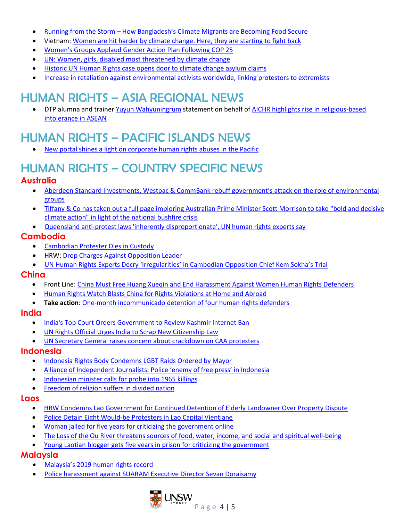- Running from the Storm How Bangladesh's [Climate Migrants are Becoming Food Secure](http://www.ipsnews.net/2019/11/running-storm-bangladeshs-climate-migrants-becoming-food-secure/?utm_source=English+-+IPS+Weekly&utm_campaign=29369d4927-EMAIL_CAMPAIGN_2019_11_28_06_15&utm_medium=email&utm_term=0_eab01a56ae-29369d4927-5666865)
- Vietnam: [Women are hit harder by climate change.](https://mosaicscience.com/story/mangroves-vietnam-women-environment-climate/?utm_source=Mekong+Eye&utm_campaign=508ce914ec-EMAIL_CAMPAIGN_2018_01_10_COPY_01&utm_medium=email&utm_term=0_5d4083d243-508ce914ec-527579429) Here, they are starting to fight back
- [Women's Groups Applaud Gend](http://www.ipsnews.net/2020/01/womens-groups-applaud-gender-action-plan-following-cop-25/?utm_source=English+-+SDGs&utm_campaign=3bf4644c95-EMAIL_CAMPAIGN_2020_01_14_09_32&utm_medium=email&utm_term=0_08b3cf317b-3bf4644c95-5666861)er Action Plan Following COP 25
- UN: Women, [girls, disabled most threatened by climate change](https://www.theguardian.com/global-development/2019/dec/21/downward-spiral-of-war-crisis-and-need-to-worsen-in-2020-fears-top-un-official)
- Historic UN Human Rights [case opens door to climate change asylum](https://www.ohchr.org/en/NewsEvents/Pages/DisplayNews.aspx?NewsID=25482&LangID=E) claims
- [Increase in retaliation against environmental activists worldwide, linking protestors to extremists](https://www.business-humanrights.org/en/increase-in-retaliation-against-environmental-activists-worldwide-linking-protestors-to-extremists?mc_cid=2f5af6dfee&mc_eid=ecee402c1b)

# HUMAN RIGHTS – ASIA REGIONAL NEWS

• DTP alumna and trainer [Yuyun Wahyuningrum](http://dtp.unsw.edu.au/yuyun-wahyuningrum) statement on behalf of [AICHR highlights rise in religious-based](https://en.antaranews.com/news/138095/aichr-highlights-rise-in-religious-based-intolerance-in-asean)  [intolerance in ASEAN](https://en.antaranews.com/news/138095/aichr-highlights-rise-in-religious-based-intolerance-in-asean)

# HUMAN RIGHTS – PACIFIC ISLANDS NEWS

• [New portal shines a light on corporate human](https://www.business-humanrights.org/en/new-portal-shines-a-light-on-corporate-human-rights-abuses-in-the-pacific?mc_cid=f30df74522&mc_eid=ecee402c1b) rights abuses in the Pacific

# HUMAN RIGHTS – COUNTRY SPECIFIC NEWS

### **Australia**

- Aberdeen Standard I[nvestments, Westpac & CommBank rebuff government's attack on](https://amp-theguardian-com.cdn.ampproject.org/c/s/amp.theguardian.com/australia-news/2019/nov/09/global-funds-management-giant-rejects-scott-morrisons-attack-on-activist-investors) the role of environmental [groups](https://amp-theguardian-com.cdn.ampproject.org/c/s/amp.theguardian.com/australia-news/2019/nov/09/global-funds-management-giant-rejects-scott-morrisons-attack-on-activist-investors)
- Tiffany & Co has taken out a full page [imploring Australian Prime Minister Scott Morrison to take](https://www.business-humanrights.org/en/australia-tiffany-co-calls-pm-scott-morrison-to-take-bold-%26-decisive-climate-action-in-light-of-bushfire-crisis?mc_cid=fca81d543f&mc_eid=ecee402c1b) "bold and decisive climate action" in li[ght of the national bushfire crisis](https://www.business-humanrights.org/en/australia-tiffany-co-calls-pm-scott-morrison-to-take-bold-%26-decisive-climate-action-in-light-of-bushfire-crisis?mc_cid=fca81d543f&mc_eid=ecee402c1b)
- Queensland anti-protest [laws 'inherently disproportionate', UN human rights experts say](https://www.theguardian.com/australia-news/2019/dec/13/queensland-anti-protest-laws-inherently-disproportionate-un-human-rights-experts-say)

### **Cambodia**

- [Cambodian Protester Dies](https://www.rfa.org/english/news/cambodia/abuse-01102020161816.html?utm_source=Mekong+Eye&utm_campaign=c710e764fe-EMAIL_CAMPAIGN_2018_01_10_COPY_01&utm_medium=email&utm_term=0_5d4083d243-c710e764fe-527579429) in Custody
- HRW: Drop [Charges Against Opposition Leader](https://www.hrw.org/news/2019/12/10/cambodia-drop-charges-against-opposition-leader)
- UN Hum[an Rights Experts Decry 'Irregularities' in Cambodian Opposit](https://theunionjournal.com/un-human-rights-experts-decry-irregularities-in-cambodian-opposition-chief-kem-sokhas-trial/)ion Chief Kem Sokha's Trial

### **China**

- Front Line[: China Must Free Huang Xueqin and End Harassment Against Women Human Rights Defenders](https://www.frontlinedefenders.org/en/statement-report/china-must-free-huang-xueqin-and-end-harassment-against-women-human-rights)
- [Human Rights Watch Blasts China for Rights Violations at Home and Abroad](http://www.ipsnews.net/2020/01/human-rights-watch-blasts-china-rights-violations-home-abroad/?utm_source=English+-+IPS+Weekly&utm_campaign=5e8f20ddd7-EMAIL_CAMPAIGN_2020_01_17_07_32&utm_medium=email&utm_term=0_eab01a56ae-5e8f20ddd7-5666865)
- **Take action**: One-month incommunicado [detention of four human rights defenders](https://www.frontlinedefenders.org/en/case/one-month-incommunicado-detention-four-human-rights-defenders-1)

### **India**

- [India's Top Court Orders Government to Review Kashmir Internet Ban](https://www.voanews.com/south-central-asia/indias-top-court-orders-government-review-kashmir-internet-ban)
- [UN Rights Official Urges India to Scrap New Citizenship Law](https://www.voanews.com/south-central-asia/un-rights-official-urges-india-scrap-new-citizenship-law)
- UN Secretary General raises [concern about crackdown on CAA protesters](https://indianexpress.com/article/india/un-secretary-general-raises-concern-about-crackdown-on-caa-protesters-urges-restraint-6173529/)

### **Indonesia**

- [Indonesia Rights Body Condemns LGBT Raids Ordered by](https://www.aljazeera.com/news/2020/01/indonesia-rights-body-condemns-lgbt-raids-ordered-depok-mayor-200114065940713.html) Mayor
- [Alliance of Independent Journalists: Police](https://www.thejakartapost.com/news/2019/12/30/police-enemy-free-press-indonesia-watchdog.html#_=_) 'enemy of free press' in Indonesia
- [Indonesian minister calls for probe into 1965 killings](https://www.aseaneconomist.com/indonesian-minister-calls-for-probe-into-1965-killings/)
- [Freedom of religion suffers in divided nation](https://www.thejakartapost.com/news/2019/12/18/freedom-religion-suffers-divided-nation.html)

### **Laos**

- HRW [Condemns Lao Government for Continued Detention of Elderly Landowner Over Property Dispute](https://www.rfa.org/english/news/laos/laos-thitphay-thammavong-2-11132019104637.html?utm_source=Mekong+Eye&utm_campaign=821dad6ec2-EMAIL_CAMPAIGN_2018_01_10_COPY_01&utm_medium=email&utm_term=0_5d4083d243-821dad6ec2-527579429)
- [Police Detain Eight Would-be Protesters in Lao Capital Vientiane](https://www.rfa.org/english/news/laos/vientiane-protest-11152019160135.html?utm_source=Mekong+Eye&utm_campaign=821dad6ec2-EMAIL_CAMPAIGN_2018_01_10_COPY_01&utm_medium=email&utm_term=0_5d4083d243-821dad6ec2-527579429)
- [Woman jailed for five years for criticizing the government online](https://www.fidh.org/en/region/asia/laos/woman-jailed-for-five-years-for-criticizing-the-government-online)
- The Loss of the Ou River [threatens sources of food, water, income, and social and spiritual well-being](https://focusweb.org/publications/the-loss-of-the-ou-river/)
- [Young Laotian blogger gets five years in prison for criticizing](https://ifex.org/young-laotian-blogger-gets-five-years-in-prison-for-criticising-the-government/?utm_source=Mekong+Eye&utm_campaign=7e84dc8509-EMAIL_CAMPAIGN_2018_01_10_COPY_01&utm_medium=email&utm_term=0_5d4083d243-7e84dc8509-527579429) the government

### **Malaysia**

- [Malaysia's 2019 human rights](https://www.thestar.com.my/news/focus/2019/12/29/comment-looking-back-on-malaysias-2019-human-rights-record) record
- Police harassment against [SUARAM Executive Director Sevan Doraisamy](https://www.fidh.org/en/issues/human-rights-defenders/malaysia-police-harassment-against-suaram-s-executive-director-mr)